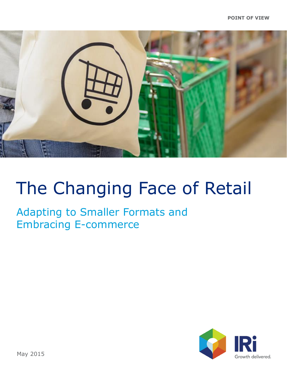

Adapting to Smaller Formats and Embracing E-commerce

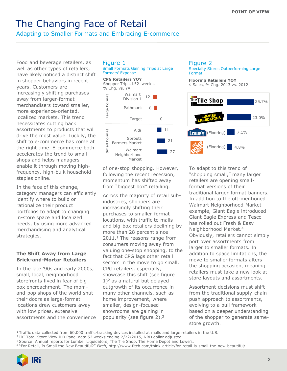Adapting to Smaller Formats and Embracing E-commerce

Food and beverage retailers, as well as other types of retailers, have likely noticed a distinct shift in shopper behaviors in recent years. Customers are increasingly shifting purchases away from larger-format merchandisers toward smaller, more experience-oriented, localized markets. This trend necessitates cutting back assortments to products that will drive the most value. Luckily, the shift to e-commerce has come at the right time. E-commerce both accelerates the trend to small shops and helps managers enable it through moving highfrequency, high-bulk household staples online.

In the face of this change, category managers can efficiently identify where to build or rationalize their product portfolios to adapt to changing in-store space and localized needs, by using more advanced merchandising and analytical strategies.

#### **The Shift Away from Large Brick-and-Mortar Retailers**

In the late '90s and early 2000s, small, local, neighborhood storefronts lived in fear of bigbox encroachment. The momand-pop shops of the world shut their doors as large-format locations drew customers away with low prices, extensive assortments and the convenience



Small Formats Gaining Trips at Large Formats' Expense



of one-stop shopping. However, following the recent recession, momentum has shifted away from "biggest box" retailing.

Across the majority of retail subindustries, shoppers are increasingly shifting their purchases to smaller-format locations, with traffic to malls and big-box retailers declining by more than 28 percent since 2011.<sup>1</sup> The reasons range from consumers moving away from valuing one-stop shopping, to the fact that CPG lags other retail sectors in the move to go small. CPG retailers, especially, showcase this shift (see figure  $1$ <sup>2</sup> as a natural but delayed outgrowth of its occurrence in many other channels, such as home improvement, where smaller, design-focused showrooms are gaining in popularity (see figure 2).<sup>3</sup>



(Flooring)

To adapt to this trend of "shopping small," many larger retailers are opening smallformat versions of their traditional larger-format banners. In addition to the oft-mentioned Walmart Neighborhood Market example, Giant Eagle introduced Giant Eagle Express and Tesco has rolled out Fresh & Easy Neighborhood Market.<sup>4</sup> Obviously, retailers cannot simply port over assortments from larger to smaller formats. In addition to space limitations, the move to smaller formats alters the shopping occasion, meaning retailers must take a new look at store layouts and assortments.

4.8%

Assortment decisions must shift from the traditional supply-chain push approach to assortments, evolving to a pull framework based on a deeper understanding of the shopper to generate samestore growth.

<sup>1</sup>Traffic data collected from 60,000 traffic-tracking devices installed at malls and large retailers in the U.S.

<sup>2</sup>IRI Total Store View ILD Panel data 52 weeks ending 2/22/2015, NBD dollar adjusted.

<sup>4</sup>"For Retail, Is Small the New Beautiful?" *Fitch*, http://www.fitch.com/think-article/for-retail-is-small-the-new-beautiful/



<sup>&</sup>lt;sup>3</sup> Source: Annual reports for Lumber Liquidators, The Tile Shop, The Home Depot and Lowe's.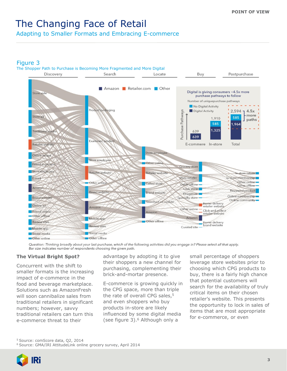Adapting to Smaller Formats and Embracing E-commerce

### Figure 3



Question: Thinking broadly about your last purchase, which of the following activities did you engage in? Please select all that apply. Bar size indicates number of respondents choosing the given path.

#### **The Virtual Bright Spot?**

Concurrent with the shift to smaller formats is the increasing impact of e-commerce in the food and beverage marketplace. Solutions such as AmazonFresh will soon cannibalize sales from traditional retailers in significant numbers; however, savvy traditional retailers can turn this e-commerce threat to their

advantage by adopting it to give their shoppers a new channel for purchasing, complementing their brick-and-mortar presence.

E-commerce is growing quickly in the CPG space, more than triple the rate of overall CPG sales, $5$ and even shoppers who buy products in-store are likely influenced by some digital media (see figure 3).<sup>6</sup> Although only a

small percentage of shoppers leverage store websites prior to choosing which CPG products to buy, there is a fairly high chance that potential customers will search for the availability of truly critical items on their chosen retailer's website. This presents the opportunity to lock in sales of items that are most appropriate for e-commerce, or even

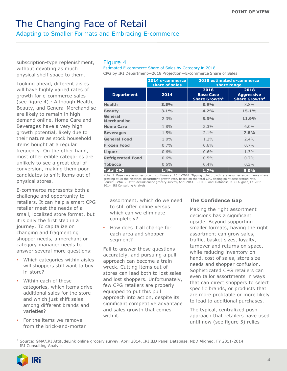Adapting to Smaller Formats and Embracing E-commerce

subscription-type replenishment, without devoting as much physical shelf space to them.

Looking ahead, different aisles will have highly varied rates of growth for e-commerce sales (see figure 4).<sup>7</sup> Although Health, Beauty, and General Merchandise are likely to remain in high demand online, Home Care and Beverages have a very high growth potential, likely due to their nature as stock household items bought at a regular frequency. On the other hand, most other edible categories are unlikely to see a great deal of conversion, making them poor candidates to shift items out of physical stores.

E-commerce represents both a challenge and opportunity to retailers. It can help a smart CPG retailer meet the needs of a small, localized store format, but it is only the first step in a journey. To capitalize on changing and fragmenting shopper needs, a merchant or category manager needs to answer several more questions:

- Which categories within aisles will shoppers still want to buy in-store?
- Within each of these categories, which items drive additional sales for the store and which just shift sales among different brands and varieties?
- For the items we remove from the brick-and-mortar

#### Figure 4

Estimated E-commerce Share of Sales by Category in 2018

CPG by IRI Department—2018 Projection—E-commerce Share of Sales

|                               | 2014 e-commerce<br>share of sales | 2018 estimated e-commerce<br>share range                     |                                                        |
|-------------------------------|-----------------------------------|--------------------------------------------------------------|--------------------------------------------------------|
| <b>Department</b>             | 2014                              | 2018<br><b>Base Case</b><br><b>Share Growth</b> <sup>1</sup> | 2018<br><b>Aggressive</b><br>Share Growth <sup>2</sup> |
| <b>Health</b>                 | 3.5%                              | 3.9%                                                         | 8.8%                                                   |
| <b>Beauty</b>                 | 3.1%                              | 4.2%                                                         | 15.1%                                                  |
| General<br><b>Merchandise</b> | $2.3\%$                           | 3.3%                                                         | 11.9%                                                  |
| <b>Home Care</b>              | 1.8%                              | 2.3%                                                         | $6.0\%$                                                |
| <b>Beverages</b>              | 1.5%                              | $2.1\%$                                                      | 7.8%                                                   |
| <b>General Food</b>           | $1.0\%$                           | $1.2\%$                                                      | $2.4\%$                                                |
| <b>Frozen Food</b>            | $0.7\%$                           | $0.6\%$                                                      | $0.7\%$                                                |
| Liguor                        | $0.6\%$                           | 0.6%                                                         | 1.3%                                                   |
| <b>Refrigerated Food</b>      | $0.6\%$                           | $0.5\%$                                                      | $0.7\%$                                                |
| <b>Tobacco</b>                | 0.5%                              | $0.4\%$                                                      | 0.3%                                                   |
| <b>Total CPG</b>              | 1.4%                              | 1.7%                                                         | 5.0%                                                   |

Note: 1. Base case assumes growth continues at 2011-2014. Tipping point growth rate assumes e-commerce share growing at 5x the historical department growth rate, based on the total CPG tipping point acceleration rate. Source: GMA/IRI AttitudeLink online grocery survey, April 2014. IRI ILD Panel Database, NBD Aligned, FY 2011- 2014. IRI Consulting Analysis.

assortment, which do we need to still offer online versus which can we eliminate completely?

• How does it all change for each area and shopper segment?

Fail to answer these questions accurately, and pursuing a pull approach can become a train wreck. Cutting items out of stores can lead both to lost sales and lost shoppers. Unfortunately, few CPG retailers are properly equipped to put this pull approach into action, despite its significant competitive advantage and sales growth that comes with it.

#### **The Confidence Gap**

Making the right assortment decisions has a significant upside. Beyond supporting smaller formats, having the right assortment can grow sales, traffic, basket sizes, loyalty, turnover and returns on space, while reducing inventory on hand, cost of sales, store size needs and shopper confusion. Sophisticated CPG retailers can even tailor assortments in ways that can direct shoppers to select specific brands, or products that are more profitable or more likely to lead to additional purchases.

The typical, centralized push approach that retailers have used until now (see figure 5) relies

<sup>7</sup> Source: GMA/IRI AttitudeLink online grocery survey, April 2014. IRI ILD Panel Database, NBD Aligned, FY 2011-2014. IRI Consulting Analysis

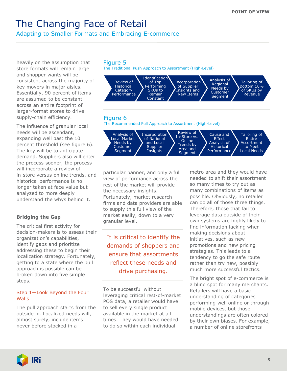Adapting to Smaller Formats and Embracing E-commerce

heavily on the assumption that store formats will remain large and shopper wants will be consistent across the majority of key movers in major aisles. Essentially, 90 percent of items are assumed to be constant across an entire footprint of larger-format stores to drive supply-chain efficiency.

The influence of granular local needs will be ascendant, expanding well past the 10 percent threshold (see figure 6). The key will be to anticipate demand. Suppliers also will enter the process sooner, the process will incorporate a review of in-store versus online trends, and historical performance is no longer taken at face value but analyzed to more deeply understand the whys behind it.

#### **Bridging the Gap**

The critical first activity for decision-makers is to assess their organization's capabilities, identify gaps and prioritize addressing these to begin their localization strategy. Fortunately, getting to a state where the pull approach is possible can be broken down into five simple steps.

#### Step 1—Look Beyond the Four Walls

The pull approach starts from the outside in. Localized needs will, almost surely, include items never before stocked in a





particular banner, and only a full view of performance across the rest of the market will provide the necessary insights. Fortunately, market research firms and data providers are able to supply this full view of the market easily, down to a very granular level.

It is critical to identify the demands of shoppers and ensure that assortments reflect these needs and drive purchasing.

To be successful without leveraging critical rest-of-market POS data, a retailer would have to sell every single product available in the market at all times. They would have needed to do so within each individual

metro area and they would have needed to shift their assortment so many times to try out as many combinations of items as possible. Obviously, no retailer can do all of those three things. Therefore, those that fail to leverage data outside of their own systems are highly likely to find information lacking when making decisions about initiatives, such as new promotions and new pricing strategies. This leads to a tendency to go the safe route rather than try new, possibly much more successful tactics.

The bright spot of e-commerce is a blind spot for many merchants. Retailers will have a basic understanding of categories performing well online or through mobile devices, but those understandings are often colored by their own biases. For example, a number of online storefronts

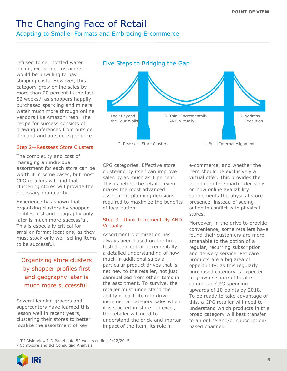Adapting to Smaller Formats and Embracing E-commerce

refused to sell bottled water online, expecting customers would be unwilling to pay shipping costs. However, this category grew online sales by more than 20 percent in the last 52 weeks, $8$  as shoppers happily purchased sparkling and mineral water much more through online vendors like AmazonFresh. The recipe for success consists of drawing inferences from outside demand and outside experience.

#### Step 2—Reassess Store Clusters

The complexity and cost of managing an individual assortment for each store can be worth it in some cases, but most CPG retailers will find that clustering stores will provide the necessary granularity.

Experience has shown that organizing clusters by shopper profiles first and geography only later is much more successful. This is especially critical for smaller-format locations, as they must stock only well-selling items to be successful.

Organizing store clusters by shopper profiles first and geography later is much more successful.

Several leading grocers and supercenters have learned this lesson well in recent years, clustering their stores to better localize the assortment of key



CPG categories. Effective store clustering by itself can improve sales by as much as 1 percent. This is before the retailer even makes the most advanced assortment planning decisions required to maximize the benefits of localization.

#### Step 3—Think Incrementally AND **Virtually**

Assortment optimization has always been based on the timetested concept of incrementally, a detailed understanding of how much in additional sales a particular product drives that is net new to the retailer, not just cannibalized from other items in the assortment. To survive, the retailer must understand the ability of each item to drive incremental category sales when it is stocked in-store. To excel, the retailer will need to understand the brick-and-mortar impact of the item, its role in

e-commerce, and whether the item should be exclusively a virtual offer. This provides the foundation for smarter decisions on how online availability supplements the physical store presence, instead of seeing online in conflict with physical stores.

Moreover, in the drive to provide convenience, some retailers have found their customers are more amenable to the option of a regular, recurring subscription and delivery service. Pet care products are a big area of opportunity, as this regularly purchased category is expected to grow its share of total ecommerce CPG spending upwards of 10 points by 2018.<sup>9</sup> To be ready to take advantage of this, a CPG retailer will need to understand which products in this broad category will best transfer to an online and/or subscriptionbased channel.

<sup>8</sup>IRI Aisle View ILD Panel data 52 weeks ending 2/22/2015 <sup>9</sup> ComScore and IRI Consulting Analysis

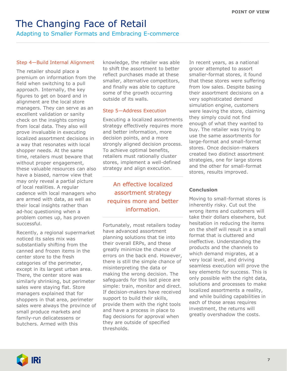Adapting to Smaller Formats and Embracing E-commerce

#### Step 4—Build Internal Alignment

The retailer should place a premium on information from the field when switching to a pull approach. Internally, the key figures to get on board and in alignment are the local store managers. They can serve as an excellent validation or sanity check on the insights coming from local data. They also will prove invaluable in executing localized assortment decisions in a way that resonates with local shopper needs. At the same time, retailers must beware that without proper engagement, these valuable resources can also have a biased, narrow view that may only reveal a partial picture of local realities. A regular cadence with local managers who are armed with data, as well as their local insights rather than ad-hoc questioning when a problem comes up, has proven successful.

Recently, a regional supermarket noticed its sales mix was substantially shifting from the canned and frozen items in the center store to the fresh categories of the perimeter, except in its largest urban area. There, the center store was similarly shrinking, but perimeter sales were staying flat. Store managers explained that for shoppers in that area, perimeter sales were always the province of small produce markets and family-run delicatessens or butchers. Armed with this

knowledge, the retailer was able to shift the assortment to better reflect purchases made at these smaller, alternative competitors, and finally was able to capture some of the growth occurring outside of its walls.

#### Step 5—Address Execution

Executing a localized assortments strategy effectively requires more and better information, more decision points, and a more strongly aligned decision process. To achieve optimal benefits, retailers must rationally cluster stores, implement a well-defined strategy and align execution.

An effective localized assortment strategy requires more and better information.

Fortunately, most retailers today have advanced assortment planning solutions that tie into their overall ERPs, and these greatly minimize the chance of errors on the back end. However, there is still the simple chance of misinterpreting the data or making the wrong decision. The safeguards for this last piece are simple: train, monitor and direct. If decision-makers have received support to build their skills, provide them with the right tools and have a process in place to flag decisions for approval when they are outside of specified thresholds.

In recent years, as a national grocer attempted to assort smaller-format stores, it found that these stores were suffering from low sales. Despite basing their assortment decisions on a very sophisticated demand simulation engine, customers were leaving the store, claiming they simply could not find enough of what they wanted to buy. The retailer was trying to use the same assortments for large-format and small-format stores. Once decision-makers created two distinct assortment strategies, one for large stores and the other for small-format stores, results improved.

#### **Conclusion**

Moving to small-format stores is inherently risky. Cut out the wrong items and customers will take their dollars elsewhere, but hesitation in reducing the items on the shelf will result in a small format that is cluttered and ineffective. Understanding the products and the channels to which demand migrates, at a very local level, and driving seamless execution will prove the key elements for success. This is only possible with the right data, solutions and processes to make localized assortments a reality, and while building capabilities in each of those areas requires investment, the returns will greatly overshadow the costs.